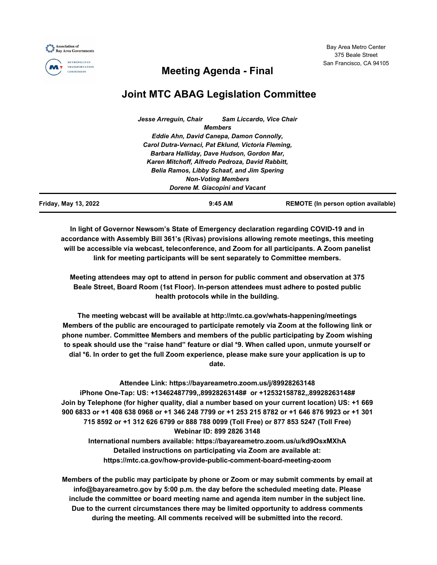Bay Area Metro Center 375 Beale Street San Francisco, CA 94105



**METROPOLITAN TRANSPORTATION COMMISSION** 

# **Meeting Agenda - Final**

# **Joint MTC ABAG Legislation Committee**

| Friday, May 13, 2022 |                                                    | $9:45$ AM                      | <b>REMOTE</b> (In person option available) |  |
|----------------------|----------------------------------------------------|--------------------------------|--------------------------------------------|--|
|                      |                                                    | Dorene M. Giacopini and Vacant |                                            |  |
|                      |                                                    | <b>Non-Voting Members</b>      |                                            |  |
|                      | Belia Ramos, Libby Schaaf, and Jim Spering         |                                |                                            |  |
|                      | Karen Mitchoff, Alfredo Pedroza, David Rabbitt,    |                                |                                            |  |
|                      | Barbara Halliday, Dave Hudson, Gordon Mar,         |                                |                                            |  |
|                      | Carol Dutra-Vernaci, Pat Eklund, Victoria Fleming, |                                |                                            |  |
|                      | Eddie Ahn, David Canepa, Damon Connolly,           |                                |                                            |  |
|                      |                                                    | <b>Members</b>                 |                                            |  |
|                      | Jesse Arrequin, Chair                              |                                | <b>Sam Liccardo, Vice Chair</b>            |  |

**In light of Governor Newsom's State of Emergency declaration regarding COVID-19 and in accordance with Assembly Bill 361's (Rivas) provisions allowing remote meetings, this meeting will be accessible via webcast, teleconference, and Zoom for all participants. A Zoom panelist link for meeting participants will be sent separately to Committee members.**

**Meeting attendees may opt to attend in person for public comment and observation at 375 Beale Street, Board Room (1st Floor). In-person attendees must adhere to posted public health protocols while in the building.**

**The meeting webcast will be available at http://mtc.ca.gov/whats-happening/meetings Members of the public are encouraged to participate remotely via Zoom at the following link or phone number. Committee Members and members of the public participating by Zoom wishing to speak should use the "raise hand" feature or dial \*9. When called upon, unmute yourself or dial \*6. In order to get the full Zoom experience, please make sure your application is up to date.**

**Attendee Link: https://bayareametro.zoom.us/j/89928263148 iPhone One-Tap: US: +13462487799,,89928263148# or +12532158782,,89928263148# Join by Telephone (for higher quality, dial a number based on your current location) US: +1 669 900 6833 or +1 408 638 0968 or +1 346 248 7799 or +1 253 215 8782 or +1 646 876 9923 or +1 301 715 8592 or +1 312 626 6799 or 888 788 0099 (Toll Free) or 877 853 5247 (Toll Free) Webinar ID: 899 2826 3148 International numbers available: https://bayareametro.zoom.us/u/kd9OsxMXhA Detailed instructions on participating via Zoom are available at: https://mtc.ca.gov/how-provide-public-comment-board-meeting-zoom**

**Members of the public may participate by phone or Zoom or may submit comments by email at info@bayareametro.gov by 5:00 p.m. the day before the scheduled meeting date. Please include the committee or board meeting name and agenda item number in the subject line. Due to the current circumstances there may be limited opportunity to address comments during the meeting. All comments received will be submitted into the record.**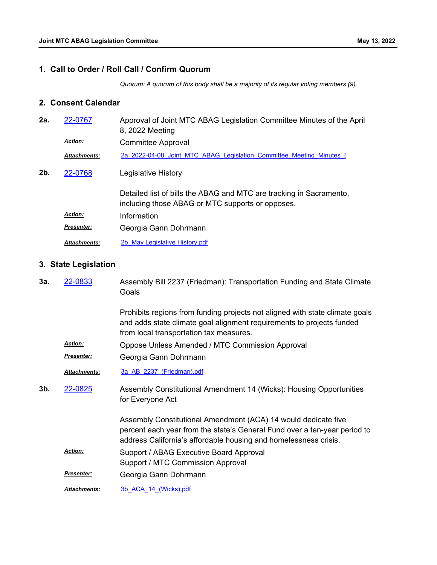## **1. Call to Order / Roll Call / Confirm Quorum**

*Quorum: A quorum of this body shall be a majority of its regular voting members (9).*

## **2. Consent Calendar**

| 2a. | 22-0767             | Approval of Joint MTC ABAG Legislation Committee Minutes of the April<br>8, 2022 Meeting                                |
|-----|---------------------|-------------------------------------------------------------------------------------------------------------------------|
|     | <b>Action:</b>      | <b>Committee Approval</b>                                                                                               |
|     | <b>Attachments:</b> | 2a 2022-04-08 Joint MTC ABAG Legislation Committee Meeting Minutes I                                                    |
| 2b. | 22-0768             | Legislative History                                                                                                     |
|     |                     | Detailed list of bills the ABAG and MTC are tracking in Sacramento,<br>including those ABAG or MTC supports or opposes. |
|     | <b>Action:</b>      | Information                                                                                                             |
|     | Presenter:          | Georgia Gann Dohrmann                                                                                                   |
|     | <b>Attachments:</b> | 2b May Legislative History.pdf                                                                                          |

## **3. State Legislation**

| За. | 22-0833             | Assembly Bill 2237 (Friedman): Transportation Funding and State Climate<br>Goals                                                                                                                                |
|-----|---------------------|-----------------------------------------------------------------------------------------------------------------------------------------------------------------------------------------------------------------|
|     |                     | Prohibits regions from funding projects not aligned with state climate goals<br>and adds state climate goal alignment requirements to projects funded<br>from local transportation tax measures.                |
|     | <b>Action:</b>      | Oppose Unless Amended / MTC Commission Approval                                                                                                                                                                 |
|     | <b>Presenter:</b>   | Georgia Gann Dohrmann                                                                                                                                                                                           |
|     | Attachments:        | 3a AB 2237 (Friedman).pdf                                                                                                                                                                                       |
| 3b. | 22-0825             | Assembly Constitutional Amendment 14 (Wicks): Housing Opportunities<br>for Everyone Act                                                                                                                         |
|     |                     | Assembly Constitutional Amendment (ACA) 14 would dedicate five<br>percent each year from the state's General Fund over a ten-year period to<br>address California's affordable housing and homelessness crisis. |
|     | <b>Action:</b>      | Support / ABAG Executive Board Approval<br>Support / MTC Commission Approval                                                                                                                                    |
|     | <b>Presenter:</b>   | Georgia Gann Dohrmann                                                                                                                                                                                           |
|     | <b>Attachments:</b> | 3b ACA 14 (Wicks).pdf                                                                                                                                                                                           |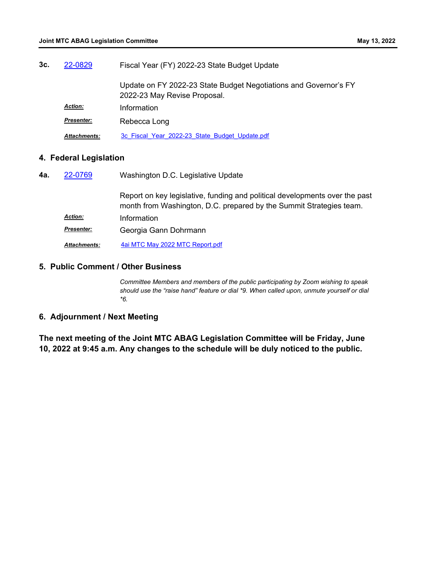| 3с. | 22-0829             | Fiscal Year (FY) 2022-23 State Budget Update                                                     |  |
|-----|---------------------|--------------------------------------------------------------------------------------------------|--|
|     |                     | Update on FY 2022-23 State Budget Negotiations and Governor's FY<br>2022-23 May Revise Proposal. |  |
|     | <b>Action:</b>      | Information                                                                                      |  |
|     | <b>Presenter:</b>   | Rebecca Long                                                                                     |  |
|     | <b>Attachments:</b> | 3c Fiscal Year 2022-23 State Budget Update.pdf                                                   |  |

## **4. Federal Legislation**

| 4a. | 22-0769           | Washington D.C. Legislative Update                                                                                                                 |
|-----|-------------------|----------------------------------------------------------------------------------------------------------------------------------------------------|
|     |                   | Report on key legislative, funding and political developments over the past<br>month from Washington, D.C. prepared by the Summit Strategies team. |
|     | <b>Action:</b>    | Information                                                                                                                                        |
|     | <b>Presenter:</b> | Georgia Gann Dohrmann                                                                                                                              |
|     | Attachments:      | 4ai MTC May 2022 MTC Report.pdf                                                                                                                    |

#### **5. Public Comment / Other Business**

*Committee Members and members of the public participating by Zoom wishing to speak should use the "raise hand" feature or dial \*9. When called upon, unmute yourself or dial \*6.*

## **6. Adjournment / Next Meeting**

**The next meeting of the Joint MTC ABAG Legislation Committee will be Friday, June 10, 2022 at 9:45 a.m. Any changes to the schedule will be duly noticed to the public.**